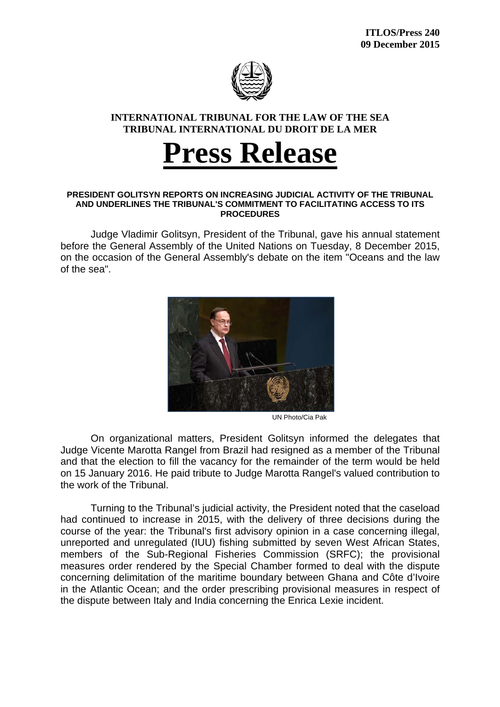

## **INTERNATIONAL TRIBUNAL FOR THE LAW OF THE SEA TRIBUNAL INTERNATIONAL DU DROIT DE LA MER**

## **Press Release**

## **PRESIDENT GOLITSYN REPORTS ON INCREASING JUDICIAL ACTIVITY OF THE TRIBUNAL AND UNDERLINES THE TRIBUNAL'S COMMITMENT TO FACILITATING ACCESS TO ITS PROCEDURES**

Judge Vladimir Golitsyn, President of the Tribunal, gave his annual statement before the General Assembly of the United Nations on Tuesday, 8 December 2015, on the occasion of the General Assembly's debate on the item "Oceans and the law of the sea".



UN Photo/Cia Pak

On organizational matters, President Golitsyn informed the delegates that Judge Vicente Marotta Rangel from Brazil had resigned as a member of the Tribunal and that the election to fill the vacancy for the remainder of the term would be held on 15 January 2016. He paid tribute to Judge Marotta Rangel's valued contribution to the work of the Tribunal.

Turning to the Tribunal's judicial activity, the President noted that the caseload had continued to increase in 2015, with the delivery of three decisions during the course of the year: the Tribunal's first advisory opinion in a case concerning illegal, unreported and unregulated (IUU) fishing submitted by seven West African States, members of the Sub-Regional Fisheries Commission (SRFC); the provisional measures order rendered by the Special Chamber formed to deal with the dispute concerning delimitation of the maritime boundary between Ghana and Côte d'Ivoire in the Atlantic Ocean; and the order prescribing provisional measures in respect of the dispute between Italy and India concerning the Enrica Lexie incident.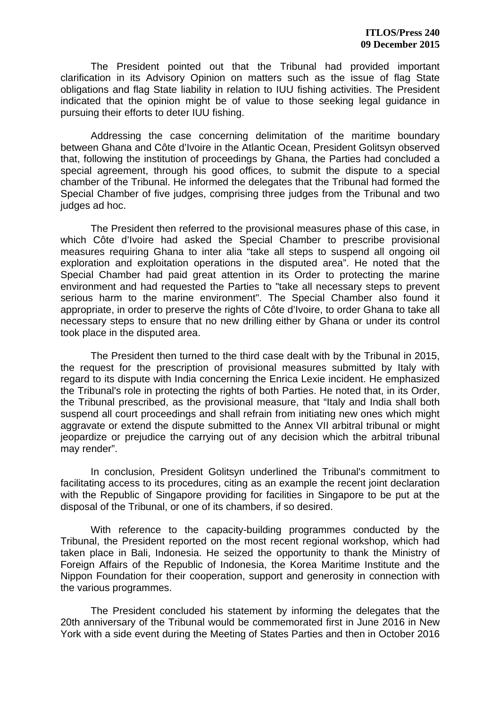The President pointed out that the Tribunal had provided important clarification in its Advisory Opinion on matters such as the issue of flag State obligations and flag State liability in relation to IUU fishing activities. The President indicated that the opinion might be of value to those seeking legal guidance in pursuing their efforts to deter IUU fishing.

Addressing the case concerning delimitation of the maritime boundary between Ghana and Côte d'Ivoire in the Atlantic Ocean, President Golitsyn observed that, following the institution of proceedings by Ghana, the Parties had concluded a special agreement, through his good offices, to submit the dispute to a special chamber of the Tribunal. He informed the delegates that the Tribunal had formed the Special Chamber of five judges, comprising three judges from the Tribunal and two judges ad hoc.

The President then referred to the provisional measures phase of this case, in which Côte d'Ivoire had asked the Special Chamber to prescribe provisional measures requiring Ghana to inter alia "take all steps to suspend all ongoing oil exploration and exploitation operations in the disputed area". He noted that the Special Chamber had paid great attention in its Order to protecting the marine environment and had requested the Parties to "take all necessary steps to prevent serious harm to the marine environment". The Special Chamber also found it appropriate, in order to preserve the rights of Côte d'Ivoire, to order Ghana to take all necessary steps to ensure that no new drilling either by Ghana or under its control took place in the disputed area.

The President then turned to the third case dealt with by the Tribunal in 2015, the request for the prescription of provisional measures submitted by Italy with regard to its dispute with India concerning the Enrica Lexie incident. He emphasized the Tribunal's role in protecting the rights of both Parties. He noted that, in its Order, the Tribunal prescribed, as the provisional measure, that "Italy and India shall both suspend all court proceedings and shall refrain from initiating new ones which might aggravate or extend the dispute submitted to the Annex VII arbitral tribunal or might jeopardize or prejudice the carrying out of any decision which the arbitral tribunal may render".

In conclusion, President Golitsyn underlined the Tribunal's commitment to facilitating access to its procedures, citing as an example the recent joint declaration with the Republic of Singapore providing for facilities in Singapore to be put at the disposal of the Tribunal, or one of its chambers, if so desired.

With reference to the capacity-building programmes conducted by the Tribunal, the President reported on the most recent regional workshop, which had taken place in Bali, Indonesia. He seized the opportunity to thank the Ministry of Foreign Affairs of the Republic of Indonesia, the Korea Maritime Institute and the Nippon Foundation for their cooperation, support and generosity in connection with the various programmes.

The President concluded his statement by informing the delegates that the 20th anniversary of the Tribunal would be commemorated first in June 2016 in New York with a side event during the Meeting of States Parties and then in October 2016